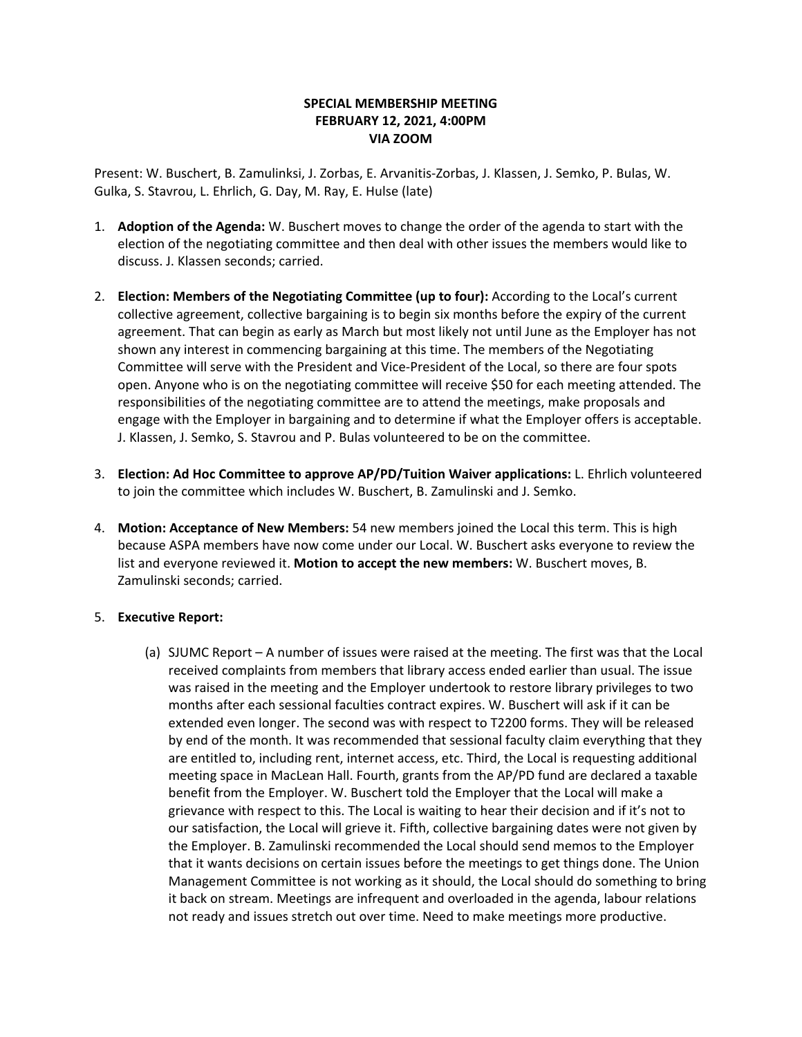## **SPECIAL MEMBERSHIP MEETING FEBRUARY 12, 2021, 4:00PM VIA ZOOM**

Present: W. Buschert, B. Zamulinksi, J. Zorbas, E. Arvanitis-Zorbas, J. Klassen, J. Semko, P. Bulas, W. Gulka, S. Stavrou, L. Ehrlich, G. Day, M. Ray, E. Hulse (late)

- 1. **Adoption of the Agenda:** W. Buschert moves to change the order of the agenda to start with the election of the negotiating committee and then deal with other issues the members would like to discuss. J. Klassen seconds; carried.
- 2. **Election: Members of the Negotiating Committee (up to four):** According to the Local's current collective agreement, collective bargaining is to begin six months before the expiry of the current agreement. That can begin as early as March but most likely not until June as the Employer has not shown any interest in commencing bargaining at this time. The members of the Negotiating Committee will serve with the President and Vice-President of the Local, so there are four spots open. Anyone who is on the negotiating committee will receive \$50 for each meeting attended. The responsibilities of the negotiating committee are to attend the meetings, make proposals and engage with the Employer in bargaining and to determine if what the Employer offers is acceptable. J. Klassen, J. Semko, S. Stavrou and P. Bulas volunteered to be on the committee.
- 3. **Election: Ad Hoc Committee to approve AP/PD/Tuition Waiver applications:** L. Ehrlich volunteered to join the committee which includes W. Buschert, B. Zamulinski and J. Semko.
- 4. **Motion: Acceptance of New Members:** 54 new members joined the Local this term. This is high because ASPA members have now come under our Local. W. Buschert asks everyone to review the list and everyone reviewed it. **Motion to accept the new members:** W. Buschert moves, B. Zamulinski seconds; carried.

## 5. **Executive Report:**

(a) SJUMC Report – A number of issues were raised at the meeting. The first was that the Local received complaints from members that library access ended earlier than usual. The issue was raised in the meeting and the Employer undertook to restore library privileges to two months after each sessional faculties contract expires. W. Buschert will ask if it can be extended even longer. The second was with respect to T2200 forms. They will be released by end of the month. It was recommended that sessional faculty claim everything that they are entitled to, including rent, internet access, etc. Third, the Local is requesting additional meeting space in MacLean Hall. Fourth, grants from the AP/PD fund are declared a taxable benefit from the Employer. W. Buschert told the Employer that the Local will make a grievance with respect to this. The Local is waiting to hear their decision and if it's not to our satisfaction, the Local will grieve it. Fifth, collective bargaining dates were not given by the Employer. B. Zamulinski recommended the Local should send memos to the Employer that it wants decisions on certain issues before the meetings to get things done. The Union Management Committee is not working as it should, the Local should do something to bring it back on stream. Meetings are infrequent and overloaded in the agenda, labour relations not ready and issues stretch out over time. Need to make meetings more productive.